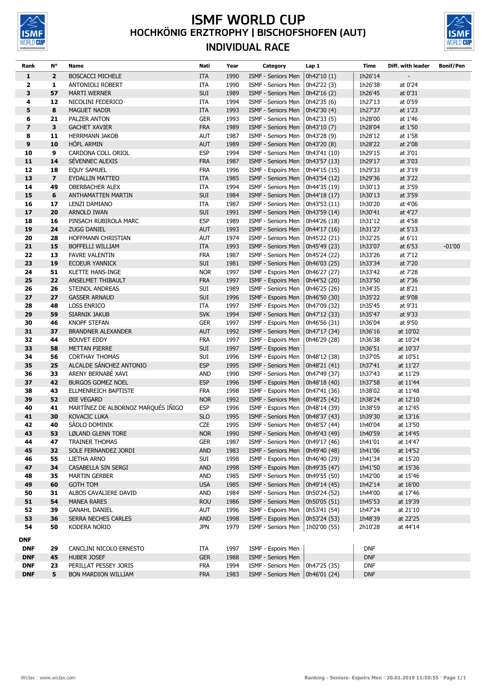

## **ISMF WORLD CUP**<br>HOCHKÖNIG ERZTROPHY | BISCHOFSHOFEN (AUT) **INDIVIDUAL RACE**



| Rank                    | <b>N°</b>               | <b>Name</b>                                      | Nati                     | Year         | Category                                 | Lap 1                        | Time               | Diff. with leader    | <b>Bonif/Pen</b> |
|-------------------------|-------------------------|--------------------------------------------------|--------------------------|--------------|------------------------------------------|------------------------------|--------------------|----------------------|------------------|
| $\mathbf{1}$            | $\overline{\mathbf{2}}$ | <b>BOSCACCI MICHELE</b>                          | <b>ITA</b>               | 1990         | ISMF - Seniors Men                       | 0h42'10 (1)                  | 1h26'14            |                      |                  |
| 2                       | 1                       | ANTONIOLI ROBERT                                 | ITA                      | 1990         | ISMF - Seniors Men                       | 0h42'22 (3)                  | 1h26'38            | at 0'24              |                  |
| 3                       | 57                      | <b>MARTI WERNER</b>                              | SUI                      | 1989         | ISMF - Seniors Men                       | 0h42'16 (2)                  | 1h26'45            | at 0'31              |                  |
| 4                       | 12                      | NICOLINI FEDERICO                                | ITA                      | 1994         | ISMF - Seniors Men                       | 0h42'35 (6)                  | 1h27'13            | at 0'59              |                  |
| 5                       | 8                       | <b>MAGUET NADIR</b>                              | <b>ITA</b>               | 1993         | ISMF - Seniors Men                       | 0h42'30 (4)                  | 1h27'37            | at 1'23              |                  |
| 6                       | 21                      | PALZER ANTON                                     | <b>GER</b>               | 1993         | ISMF - Seniors Men                       | 0h42'33 (5)                  | 1h28'00            | at 1'46              |                  |
| $\overline{\mathbf{z}}$ | 3                       | <b>GACHET XAVIER</b>                             | <b>FRA</b>               | 1989         | ISMF - Seniors Men                       | 0h43'10 (7)                  | 1h28'04            | at 1'50              |                  |
| 8                       | 11                      | <b>HERRMANN JAKOB</b>                            | <b>AUT</b>               | 1987         | ISMF - Seniors Men                       | 0h43'28 (9)                  | 1h28'12            | at 1'58              |                  |
| $\boldsymbol{9}$        | 10                      | <b>HOFL ARMIN</b>                                | <b>AUT</b>               | 1989         | ISMF - Seniors Men                       | 0h43'20 (8)                  | 1h28'22            | at 2'08              |                  |
| 10                      | 9                       | CARDONA COLL ORIOL                               | <b>ESP</b>               | 1994         | ISMF - Seniors Men                       | 0h43'41 (10)                 | 1h29'15            | at 3'01              |                  |
| 11                      | 14                      | SEVENNEC ALEXIS                                  | <b>FRA</b>               | 1987         | ISMF - Seniors Men                       | 0h43'57 (13)                 | 1h29'17            | at 3'03              |                  |
| 12                      | 18                      | EQUY SAMUEL                                      | <b>FRA</b>               | 1996         | ISMF - Espoirs Men                       | 0h44'15 (15)                 | 1h29'33            | at 3'19              |                  |
| 13                      | $\overline{\mathbf{z}}$ | EYDALLIN MATTEO                                  | <b>ITA</b>               | 1985         | ISMF - Seniors Men                       | 0h43'54 (12)                 | 1h29'36            | at 3'22              |                  |
| 14                      | 49                      | <b>OBERBACHER ALEX</b>                           | ITA                      | 1994         | ISMF - Seniors Men                       | 0h44'35 (19)                 | 1h30'13            | at 3'59              |                  |
| 15                      | 6                       | ANTHAMATTEN MARTIN                               | SUI                      | 1984         | ISMF - Seniors Men                       | 0h44'18 (17)                 | 1h30'13            | at 3'59              |                  |
| 16                      | 17                      | LENZI DAMIANO                                    | ITA                      | 1987         | ISMF - Seniors Men                       | 0h43'53 (11)                 | 1h30'20            | at 4'06              |                  |
| 17                      | 20                      | ARNOLD IWAN                                      | SUI                      | 1991         | ISMF - Seniors Men                       | 0h43'59 (14)                 | 1h30'41            | at 4'27              |                  |
| 18                      | 16                      | PINSACH RUBIROLA MARC                            | <b>ESP</b>               | 1989         | ISMF - Seniors Men                       | 0h44'26 (18)                 | 1h31'12            | at 4'58              |                  |
| 19                      | 24                      | <b>ZUGG DANIEL</b>                               | <b>AUT</b>               | 1993         | ISMF - Seniors Men                       | 0h44'17 (16)                 | 1h31'27            | at 5'13              |                  |
| 20                      | 28                      | HOFFMANN CHRISTIAN                               | <b>AUT</b>               | 1974         | ISMF - Seniors Men                       | 0h45'22 (21)                 | 1h32'25            | at 6'11              |                  |
| 21                      | 15                      | BOFFELLI WILLIAM                                 | <b>ITA</b>               | 1993         | ISMF - Seniors Men                       | 0h45'49 (23)                 | 1h33'07            | at 6'53              | $-01'00$         |
| 22                      | 13                      | <b>FAVRE VALENTIN</b>                            | <b>FRA</b>               | 1987         | ISMF - Seniors Men                       | 0h45'24 (22)                 | 1h33'26            | at 7'12              |                  |
| 23                      | 19                      | <b>ECOEUR YANNICK</b>                            | <b>SUI</b>               | 1981         | ISMF - Seniors Men                       | 0h46'03 (25)                 | 1h33'34            | at 7'20              |                  |
| 24                      | 51                      | <b>KLETTE HANS-INGE</b>                          | <b>NOR</b>               | 1997         | ISMF - Espoirs Men                       | 0h46'27 (27)                 | 1h33'42            | at 7'28              |                  |
| 25                      | 22                      | ANSELMET THIBAULT                                | <b>FRA</b>               | 1997         | ISMF - Espoirs Men                       | 0h44'52 (20)                 | 1h33'50            | at 7'36              |                  |
| 26                      | 26                      | STEINDL ANDREAS                                  | SUI                      | 1989         | ISMF - Seniors Men                       | 0h46'25 (26)                 | 1h34'35            | at 8'21              |                  |
| 27                      | 27                      | <b>GASSER ARNAUD</b>                             | SUI                      | 1996         | ISMF - Espoirs Men                       | 0h46'50 (30)                 | 1h35'22            | at 9'08              |                  |
| 28                      | 48                      | <b>LOSS ENRICO</b>                               | ITA                      | 1997         | ISMF - Espoirs Men                       | 0h47'09 (32)                 | 1h35'45            | at 9'31              |                  |
| 29                      | 59                      | SIARNIK JAKUB                                    | <b>SVK</b>               | 1994         | ISMF - Seniors Men                       | 0h47'12 (33)                 | 1h35'47            | at 9'33              |                  |
| 30<br>31                | 46<br>37                | <b>KNOPF STEFAN</b><br><b>BRANDNER ALEXANDER</b> | <b>GER</b><br><b>AUT</b> | 1997<br>1992 | ISMF - Espoirs Men<br>ISMF - Seniors Men | 0h46'56 (31)<br>0h47'17 (34) | 1h36'04<br>1h36'16 | at 9'50<br>at 10'02  |                  |
| 32                      | 44                      | <b>BOUVET EDDY</b>                               | <b>FRA</b>               | 1997         | ISMF - Espoirs Men                       | 0h46'29 (28)                 | 1h36'38            | at 10'24             |                  |
| 33                      | 58                      | <b>METTAN PIERRE</b>                             | SUI                      | 1997         | ISMF - Espoirs Men                       |                              | 1h36'51            | at 10'37             |                  |
| 34                      | 56                      | <b>CORTHAY THOMAS</b>                            | SUI                      | 1996         | ISMF - Espoirs Men                       | 0h48'12 (38)                 | 1h37'05            | at 10'51             |                  |
| 35                      | 25                      | ALCALDE SÁNCHEZ ANTONIO                          | <b>ESP</b>               | 1995         | ISMF - Seniors Men                       | 0h48'21 (41)                 | 1h37'41            | at 11'27             |                  |
| 36                      | 33                      | ARENY BERNABE XAVI                               | <b>AND</b>               | 1990         | ISMF - Seniors Men                       | 0h47'49 (37)                 | 1h37'43            | at 11'29             |                  |
| 37                      | 42                      | <b>BURGOS GOMEZ NOEL</b>                         | <b>ESP</b>               | 1996         | ISMF - Espoirs Men                       | 0h48'18 (40)                 | 1h37'58            | at 11'44             |                  |
| 38                      | 43                      | ELLMENREICH BAPTISTE                             | <b>FRA</b>               | 1998         | ISMF - Espoirs Men                       | 0h47'41 (36)                 | 1h38'02            | at 11'48             |                  |
| 39                      | 52                      | ØIE VEGARD                                       | <b>NOR</b>               | 1992         | ISMF - Seniors Men                       | 0h48'25 (42)                 | 1h38'24            | at 12'10             |                  |
| 40                      | 41                      | MARTÍNEZ DE ALBORNOZ MARQUÉS IÑIGO               | <b>ESP</b>               | 1996         | ISMF - Espoirs Men                       | 0h48'14 (39)                 | 1h38'59            | at 12'45             |                  |
| 41                      | 30                      | <b>KOVACIC LUKA</b>                              | <b>SLO</b>               | 1995         | ISMF - Seniors Men                       | 0h48'37 (43)                 | 1h39'30            | at 13'16             |                  |
| 42                      | 40                      | SÁDLO DOMINIK                                    | <b>CZE</b>               | 1995         | ISMF - Seniors Men                       | 0h48'57 (44)                 | 1h40'04            | at 13'50             |                  |
| 43                      | 53                      | LØLAND GLENN TORE                                | <b>NOR</b>               | 1990         | ISMF - Seniors Men                       | 0h49'43 (49)                 | 1h40'59            | at 14'45             |                  |
| 44                      | 47                      | <b>TRAINER THOMAS</b>                            | <b>GER</b>               | 1987         | ISMF - Seniors Men                       | 0h49'17 (46)                 | 1h41'01            | at 14'47             |                  |
| 45                      | 32                      | SOLE FERNANDEZ JORDI                             | AND                      | 1983         | ISMF - Seniors Men                       | 0h49'40 (48)                 | 1h41'06            | at 14'52             |                  |
| 46                      | 55                      | LIETHA ARNO                                      | SUI                      | 1998         | ISMF - Espoirs Men                       | 0h46'40 (29)                 | 1h41'34            | at 15'20             |                  |
| 47                      | 34                      | CASABELLA SIN SERGI                              | <b>AND</b>               | 1998         | ISMF - Espoirs Men                       | 0h49'35 (47)                 | 1h41'50            | at 15'36             |                  |
| 48                      | 35                      | <b>MARTIN GERBER</b>                             | AND                      | 1985         | ISMF - Seniors Men                       | 0h49'55 (50)                 | 1h42'00            | at 15'46             |                  |
| 49                      | 60                      | <b>GOTH TOM</b>                                  | <b>USA</b>               | 1985         | ISMF - Seniors Men                       | 0h49'14 (45)                 | 1h42'14            | at 16'00             |                  |
| 50<br>51                | 31<br>54                | ALBOS CAVALIERE DAVID                            | <b>AND</b><br><b>ROU</b> | 1984         | ISMF - Seniors Men                       | 0h50'24 (52)                 | 1h44'00<br>1h45'53 | at 17'46             |                  |
| 52                      | 39                      | <b>MANEA RARES</b><br><b>GANAHL DANIEL</b>       | <b>AUT</b>               | 1986<br>1996 | ISMF - Seniors Men<br>ISMF - Espoirs Men | 0h50'05 (51)<br>0h53'41 (54) | 1h47'24            | at 19'39<br>at 21'10 |                  |
| 53                      | 36                      | SERRA NECHES CARLES                              | <b>AND</b>               | 1998         | ISMF - Espoirs Men                       | 0h53'24 (53)                 | 1h48'39            | at 22'25             |                  |
| 54                      | 50                      | KODERA NORIO                                     | <b>JPN</b>               | 1979         | ISMF - Seniors Men                       | 1h02'00 (55)                 | 2h10'28            | at 44'14             |                  |
|                         |                         |                                                  |                          |              |                                          |                              |                    |                      |                  |
| <b>DNF</b>              |                         |                                                  |                          |              |                                          |                              |                    |                      |                  |
| <b>DNF</b>              | 29                      | CANCLINI NICOLO ERNESTO                          | ITA                      | 1997         | ISMF - Espoirs Men                       |                              | <b>DNF</b>         |                      |                  |
| <b>DNF</b>              | 45                      | <b>HUBER JOSEF</b>                               | <b>GER</b>               | 1988         | ISMF - Seniors Men                       |                              | <b>DNF</b>         |                      |                  |
| <b>DNF</b>              | 23                      | PERILLAT PESSEY JORIS                            | <b>FRA</b>               | 1994         | ISMF - Seniors Men                       | 0h47'25 (35)                 | <b>DNF</b>         |                      |                  |
| <b>DNF</b>              | 5                       | BON MARDION WILLIAM                              | <b>FRA</b>               | 1983         | ISMF - Seniors Men $  0h46'01 (24)$      |                              | <b>DNF</b>         |                      |                  |